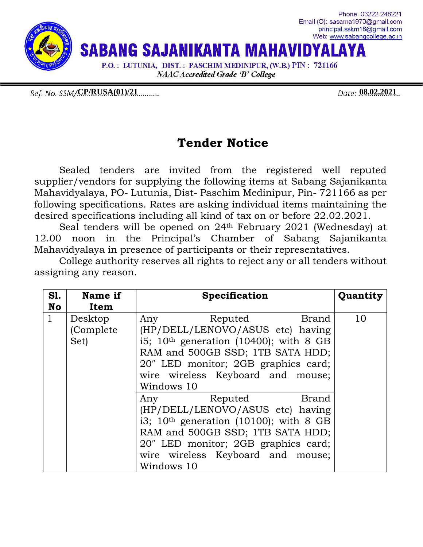

Ref. No. SSM/**CP/RUSA(01)/21** (2008) 08:02:2021

## **Tender Notice**

Sealed tenders are invited from the registered well reputed supplier/vendors for supplying the following items at Sabang Sajanikanta Mahavidyalaya, PO- Lutunia, Dist- Paschim Medinipur, Pin- 721166 as per following specifications. Rates are asking individual items maintaining the desired specifications including all kind of tax on or before 22.02.2021.

Seal tenders will be opened on 24th February 2021 (Wednesday) at 12.00 noon in the Principal's Chamber of Sabang Sajanikanta Mahavidyalaya in presence of participants or their representatives.

College authority reserves all rights to reject any or all tenders without assigning any reason.

| <b>S1.</b>   | Name if   | <b>Specification</b>                     | Quantity |
|--------------|-----------|------------------------------------------|----------|
| <b>No</b>    | Item      |                                          |          |
| $\mathbf{1}$ | Desktop   | Any<br>Reputed<br>Brand                  | 10       |
|              | (Complete | (HP/DELL/LENOVO/ASUS etc) having         |          |
|              | Set)      | i5; $10th$ generation (10400); with 8 GB |          |
|              |           | RAM and 500GB SSD; 1TB SATA HDD;         |          |
|              |           | 20" LED monitor; 2GB graphics card;      |          |
|              |           | wire wireless Keyboard and mouse;        |          |
|              |           | Windows 10                               |          |
|              |           | Any Reputed<br>Brand                     |          |
|              |           | (HP/DELL/LENOVO/ASUS etc) having         |          |
|              |           | i3; $10th$ generation (10100); with 8 GB |          |
|              |           | RAM and 500GB SSD; 1TB SATA HDD;         |          |
|              |           | 20" LED monitor; 2GB graphics card;      |          |
|              |           | wire wireless Keyboard and mouse;        |          |
|              |           | Windows 10                               |          |